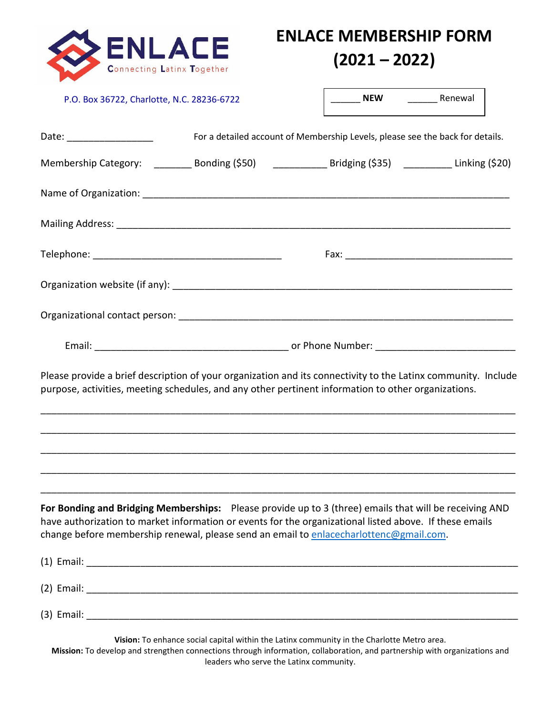

## **ENLACE MEMBERSHIP FORM (2021 – 2022)**

| P.O. Box 36722, Charlotte, N.C. 28236-6722                                                                                                                                                                                                                                                                  |                                                                               | NEW Renewal |  |
|-------------------------------------------------------------------------------------------------------------------------------------------------------------------------------------------------------------------------------------------------------------------------------------------------------------|-------------------------------------------------------------------------------|-------------|--|
| Date: __________________                                                                                                                                                                                                                                                                                    | For a detailed account of Membership Levels, please see the back for details. |             |  |
|                                                                                                                                                                                                                                                                                                             |                                                                               |             |  |
|                                                                                                                                                                                                                                                                                                             |                                                                               |             |  |
|                                                                                                                                                                                                                                                                                                             |                                                                               |             |  |
|                                                                                                                                                                                                                                                                                                             |                                                                               |             |  |
|                                                                                                                                                                                                                                                                                                             |                                                                               |             |  |
|                                                                                                                                                                                                                                                                                                             |                                                                               |             |  |
|                                                                                                                                                                                                                                                                                                             |                                                                               |             |  |
|                                                                                                                                                                                                                                                                                                             |                                                                               |             |  |
| Please provide a brief description of your organization and its connectivity to the Latinx community. Include<br>purpose, activities, meeting schedules, and any other pertinent information to other organizations.                                                                                        |                                                                               |             |  |
|                                                                                                                                                                                                                                                                                                             |                                                                               |             |  |
| For Bonding and Bridging Memberships: Please provide up to 3 (three) emails that will be receiving AND<br>have authorization to market information or events for the organizational listed above. If these emails<br>change before membership renewal, please send an email to enlacecharlottenc@gmail.com. |                                                                               |             |  |
|                                                                                                                                                                                                                                                                                                             |                                                                               |             |  |
|                                                                                                                                                                                                                                                                                                             |                                                                               |             |  |

**Mission:** To develop and strengthen connections through information, collaboration, and partnership with organizations and leaders who serve the Latinx community.